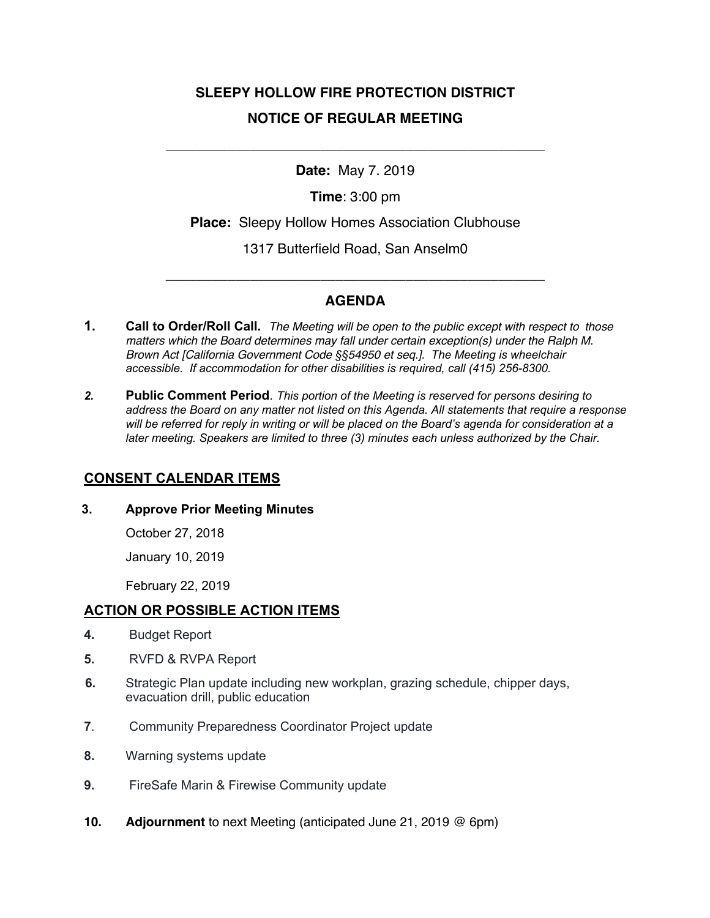# **SLEEPY HOLLOW FIRE PROTECTION DISTRICT NOTICE OF REGULAR MEETING**

### **Date:** May 7. 2019

\_\_\_\_\_\_\_\_\_\_\_\_\_\_\_\_\_\_\_\_\_\_\_\_\_\_\_\_\_\_\_\_\_\_\_\_\_\_\_\_\_\_\_\_\_\_\_\_\_

**Time**: 3:00 pm

**Place:** Sleepy Hollow Homes Association Clubhouse

1317 Butterfield Road, San Anselm0

## **AGENDA**

\_\_\_\_\_\_\_\_\_\_\_\_\_\_\_\_\_\_\_\_\_\_\_\_\_\_\_\_\_\_\_\_\_\_\_\_\_\_\_\_\_\_\_\_\_\_\_\_\_

- **1. Call to Order/Roll Call.** *The Meeting will be open to the public except with respect to those matters which the Board determines may fall under certain exception(s) under the Ralph M. Brown Act [California Government Code §§54950 et seq.]. The Meeting is wheelchair accessible. If accommodation for other disabilities is required, call (415) 256-8300.*
- *2.* **Public Comment Period**. *This portion of the Meeting is reserved for persons desiring to address the Board on any matter not listed on this Agenda. All statements that require a response will be referred for reply in writing or will be placed on the Board's agenda for consideration at a later meeting. Speakers are limited to three (3) minutes each unless authorized by the Chair.*

#### **CONSENT CALENDAR ITEMS**

#### **3. Approve Prior Meeting Minutes**

October 27, 2018

January 10, 2019

February 22, 2019

#### **ACTION OR POSSIBLE ACTION ITEMS**

- **4.** Budget Report
- **5.** RVFD & RVPA Report
- **6.** Strategic Plan update including new workplan, grazing schedule, chipper days, evacuation drill, public education
- **7**. Community Preparedness Coordinator Project update
- **8.** Warning systems update
- **9.** FireSafe Marin & Firewise Community update
- **10. Adjournment** to next Meeting (anticipated June 21, 2019 @ 6pm)